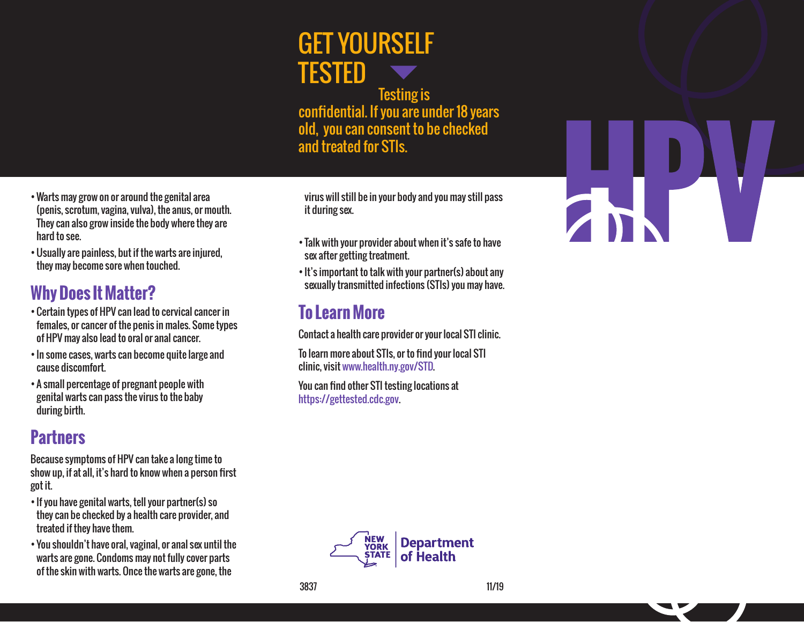# GET YOURSELF TESTED

Testing is confidential. If you are under 18 years old, you can consent to be checked and treated for STIs.

•Warts may grow on or around the genital area (penis, scrotum, vagina, vulva), the anus, or mouth. They can also grow inside the body where they are hard to see.

•Usually are painless, but if the warts are injured, they may become sore when touched.

### **Why Does It Matter?**

- •Certain types of HPV can lead to cervical cancer in females, or cancer of the penis in males. Some types of HPV may also lead to oral or anal cancer.
- In some cases, warts can become quite large and cause discomfort.
- A small percentage of pregnant people with genital warts can pass the virus to the baby during birth.

#### **Partners**

Because symptoms of HPV can take a long time to show up, if at all, it's hard to know when a person first got it.

- If you have genital warts, tell your partner(s) so they can be checked by a health care provider, and treated if they have them.
- You shouldn't have oral, vaginal, or anal sex until the warts are gone. Condoms may not fully cover parts of the skin with warts. Once the warts are gone, the

virus will still be in your body and you may still pass it during sex.

- Talk with your provider about when it's safe to have sex after getting treatment.
- It's important to talk with your partner(s) about any sexually transmitted infections (STIs) you may have.

#### **To Learn More**

Contact a health care provider or your local STI clinic.

To learn more about STIs, or to find your local STI clinic, visit www.health.ny.gov/STD.

You can find other STI testing locations at https://gettested.cdc.gov.